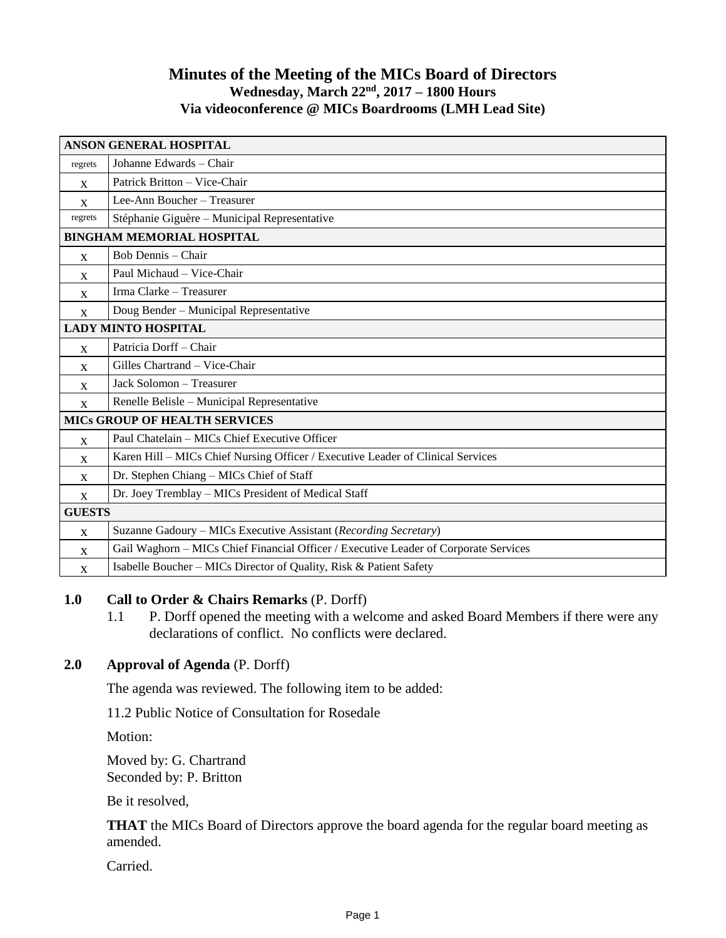# **Minutes of the Meeting of the MICs Board of Directors Wednesday, March 22 nd , 2017 – 1800 Hours Via videoconference @ MICs Boardrooms (LMH Lead Site)**

| <b>ANSON GENERAL HOSPITAL</b>        |                                                                                      |
|--------------------------------------|--------------------------------------------------------------------------------------|
| regrets                              | Johanne Edwards – Chair                                                              |
| X                                    | Patrick Britton - Vice-Chair                                                         |
| $\mathbf{x}$                         | Lee-Ann Boucher - Treasurer                                                          |
| regrets                              | Stéphanie Giguère - Municipal Representative                                         |
| <b>BINGHAM MEMORIAL HOSPITAL</b>     |                                                                                      |
| X                                    | Bob Dennis – Chair                                                                   |
| X                                    | Paul Michaud - Vice-Chair                                                            |
| $\mathbf{x}$                         | Irma Clarke - Treasurer                                                              |
| X                                    | Doug Bender - Municipal Representative                                               |
| <b>LADY MINTO HOSPITAL</b>           |                                                                                      |
| $\mathbf{X}$                         | Patricia Dorff - Chair                                                               |
| X                                    | Gilles Chartrand - Vice-Chair                                                        |
| X                                    | Jack Solomon - Treasurer                                                             |
| $\mathbf{X}$                         | Renelle Belisle - Municipal Representative                                           |
| <b>MICS GROUP OF HEALTH SERVICES</b> |                                                                                      |
| X                                    | Paul Chatelain - MICs Chief Executive Officer                                        |
| X                                    | Karen Hill – MICs Chief Nursing Officer / Executive Leader of Clinical Services      |
| X                                    | Dr. Stephen Chiang - MICs Chief of Staff                                             |
| X                                    | Dr. Joey Tremblay - MICs President of Medical Staff                                  |
| <b>GUESTS</b>                        |                                                                                      |
| X                                    | Suzanne Gadoury - MICs Executive Assistant (Recording Secretary)                     |
| $\mathbf{x}$                         | Gail Waghorn - MICs Chief Financial Officer / Executive Leader of Corporate Services |
| X                                    | Isabelle Boucher – MICs Director of Quality, Risk & Patient Safety                   |

### **1.0 Call to Order & Chairs Remarks** (P. Dorff)

1.1 P. Dorff opened the meeting with a welcome and asked Board Members if there were any declarations of conflict. No conflicts were declared.

# **2.0 Approval of Agenda** (P. Dorff)

The agenda was reviewed. The following item to be added:

11.2 Public Notice of Consultation for Rosedale

Motion:

Moved by: G. Chartrand Seconded by: P. Britton

Be it resolved,

**THAT** the MICs Board of Directors approve the board agenda for the regular board meeting as amended.

Carried.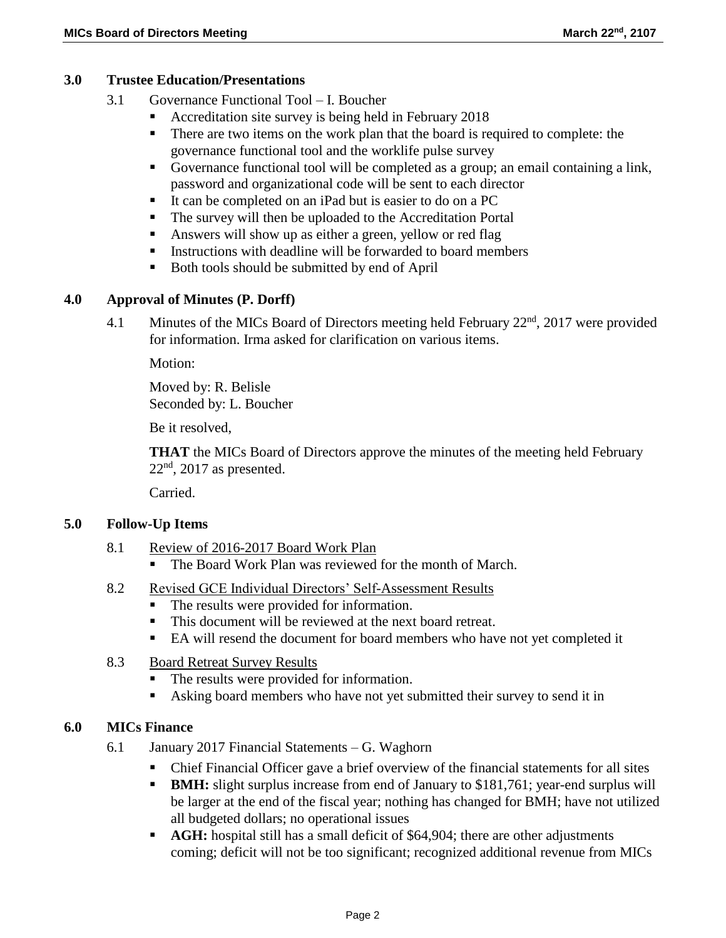# **3.0 Trustee Education/Presentations**

- 3.1 Governance Functional Tool I. Boucher
	- Accreditation site survey is being held in February 2018
	- There are two items on the work plan that the board is required to complete: the governance functional tool and the worklife pulse survey
	- Governance functional tool will be completed as a group; an email containing a link, password and organizational code will be sent to each director
	- It can be completed on an iPad but is easier to do on a PC
	- The survey will then be uploaded to the Accreditation Portal
	- Answers will show up as either a green, yellow or red flag
	- Instructions with deadline will be forwarded to board members
	- Both tools should be submitted by end of April

### **4.0 Approval of Minutes (P. Dorff)**

4.1 Minutes of the MICs Board of Directors meeting held February 22<sup>nd</sup>, 2017 were provided for information. Irma asked for clarification on various items.

Motion:

Moved by: R. Belisle Seconded by: L. Boucher

Be it resolved,

**THAT** the MICs Board of Directors approve the minutes of the meeting held February  $22<sup>nd</sup>$ , 2017 as presented.

Carried.

### **5.0 Follow-Up Items**

- 8.1 Review of 2016-2017 Board Work Plan
	- The Board Work Plan was reviewed for the month of March.
- 8.2 Revised GCE Individual Directors' Self-Assessment Results
	- The results were provided for information.
	- This document will be reviewed at the next board retreat.
	- EA will resend the document for board members who have not yet completed it
- 8.3 Board Retreat Survey Results
	- The results were provided for information.
	- Asking board members who have not yet submitted their survey to send it in

### **6.0 MICs Finance**

- 6.1 January 2017 Financial Statements G. Waghorn
	- Chief Financial Officer gave a brief overview of the financial statements for all sites
	- **BMH:** slight surplus increase from end of January to \$181,761; year-end surplus will be larger at the end of the fiscal year; nothing has changed for BMH; have not utilized all budgeted dollars; no operational issues
	- **AGH:** hospital still has a small deficit of \$64,904; there are other adjustments coming; deficit will not be too significant; recognized additional revenue from MICs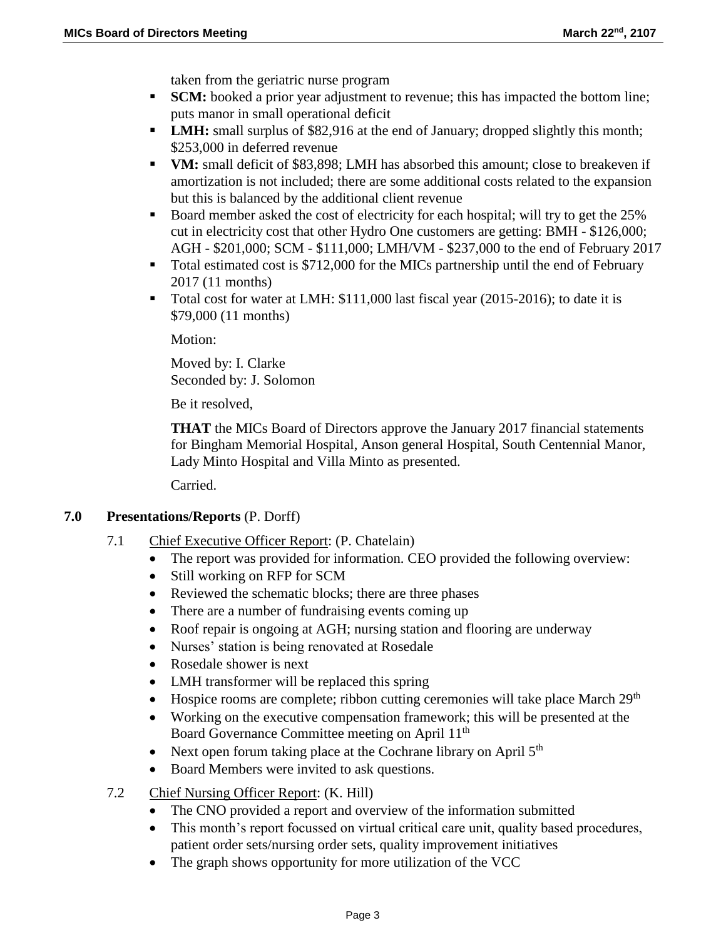taken from the geriatric nurse program

- **SCM:** booked a prior year adjustment to revenue; this has impacted the bottom line; puts manor in small operational deficit
- **LMH:** small surplus of \$82,916 at the end of January; dropped slightly this month; \$253,000 in deferred revenue
- **VM:** small deficit of \$83,898; LMH has absorbed this amount; close to breakeven if amortization is not included; there are some additional costs related to the expansion but this is balanced by the additional client revenue
- Board member asked the cost of electricity for each hospital; will try to get the 25% cut in electricity cost that other Hydro One customers are getting: BMH - \$126,000; AGH - \$201,000; SCM - \$111,000; LMH/VM - \$237,000 to the end of February 2017
- Total estimated cost is \$712,000 for the MICs partnership until the end of February 2017 (11 months)
- Total cost for water at LMH: \$111,000 last fiscal year (2015-2016); to date it is \$79,000 (11 months)

Motion:

Moved by: I. Clarke Seconded by: J. Solomon

Be it resolved,

**THAT** the MICs Board of Directors approve the January 2017 financial statements for Bingham Memorial Hospital, Anson general Hospital, South Centennial Manor, Lady Minto Hospital and Villa Minto as presented.

Carried.

### **7.0 Presentations/Reports** (P. Dorff)

- 7.1 Chief Executive Officer Report: (P. Chatelain)
	- The report was provided for information. CEO provided the following overview:
	- Still working on RFP for SCM
	- Reviewed the schematic blocks; there are three phases
	- There are a number of fundraising events coming up
	- Roof repair is ongoing at AGH; nursing station and flooring are underway
	- Nurses' station is being renovated at Rosedale
	- Rosedale shower is next
	- LMH transformer will be replaced this spring
	- $\bullet$  Hospice rooms are complete; ribbon cutting ceremonies will take place March 29<sup>th</sup>
	- Working on the executive compensation framework; this will be presented at the Board Governance Committee meeting on April 11<sup>th</sup>
	- Next open forum taking place at the Cochrane library on April  $5<sup>th</sup>$
	- Board Members were invited to ask questions.
- 7.2 Chief Nursing Officer Report: (K. Hill)
	- The CNO provided a report and overview of the information submitted
	- This month's report focussed on virtual critical care unit, quality based procedures, patient order sets/nursing order sets, quality improvement initiatives
	- The graph shows opportunity for more utilization of the VCC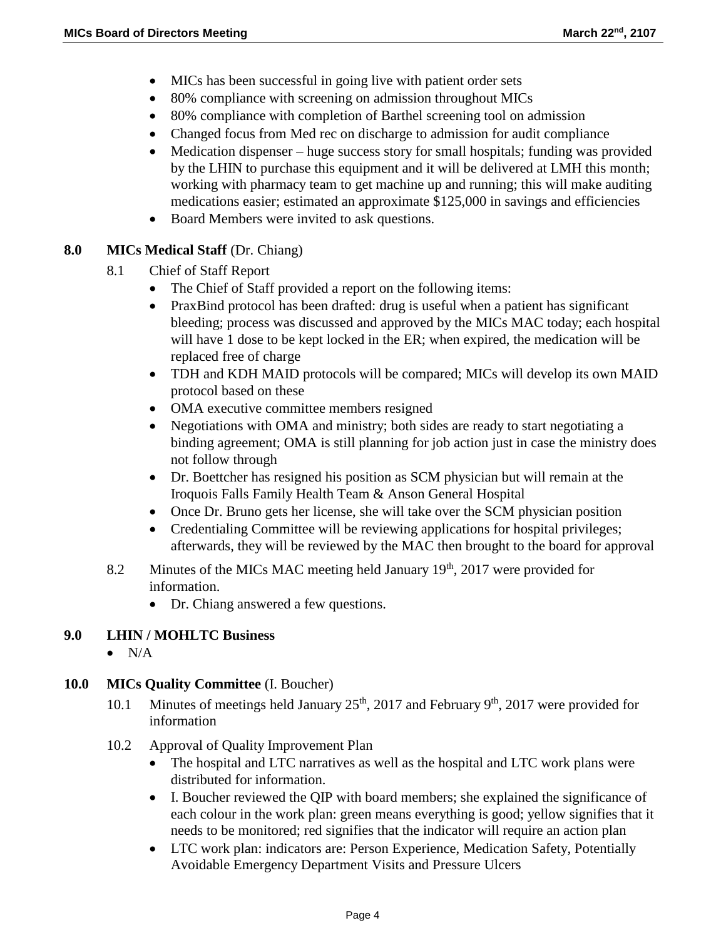- MICs has been successful in going live with patient order sets
- 80% compliance with screening on admission throughout MICs
- 80% compliance with completion of Barthel screening tool on admission
- Changed focus from Med rec on discharge to admission for audit compliance
- Medication dispenser huge success story for small hospitals; funding was provided by the LHIN to purchase this equipment and it will be delivered at LMH this month; working with pharmacy team to get machine up and running; this will make auditing medications easier; estimated an approximate \$125,000 in savings and efficiencies
- Board Members were invited to ask questions.

# **8.0 MICs Medical Staff** (Dr. Chiang)

- 8.1 Chief of Staff Report
	- The Chief of Staff provided a report on the following items:
	- PraxBind protocol has been drafted: drug is useful when a patient has significant bleeding; process was discussed and approved by the MICs MAC today; each hospital will have 1 dose to be kept locked in the ER; when expired, the medication will be replaced free of charge
	- TDH and KDH MAID protocols will be compared; MICs will develop its own MAID protocol based on these
	- OMA executive committee members resigned
	- Negotiations with OMA and ministry; both sides are ready to start negotiating a binding agreement; OMA is still planning for job action just in case the ministry does not follow through
	- Dr. Boettcher has resigned his position as SCM physician but will remain at the Iroquois Falls Family Health Team & Anson General Hospital
	- Once Dr. Bruno gets her license, she will take over the SCM physician position
	- Credentialing Committee will be reviewing applications for hospital privileges; afterwards, they will be reviewed by the MAC then brought to the board for approval
- 8.2 Minutes of the MICs MAC meeting held January  $19<sup>th</sup>$ , 2017 were provided for information.
	- Dr. Chiang answered a few questions.

# **9.0 LHIN / MOHLTC Business**

 $\bullet$  N/A

# **10.0 MICs Quality Committee** (I. Boucher)

- 10.1 Minutes of meetings held January  $25<sup>th</sup>$ , 2017 and February 9<sup>th</sup>, 2017 were provided for information
- 10.2 Approval of Quality Improvement Plan
	- The hospital and LTC narratives as well as the hospital and LTC work plans were distributed for information.
	- I. Boucher reviewed the QIP with board members; she explained the significance of each colour in the work plan: green means everything is good; yellow signifies that it needs to be monitored; red signifies that the indicator will require an action plan
	- LTC work plan: indicators are: Person Experience, Medication Safety, Potentially Avoidable Emergency Department Visits and Pressure Ulcers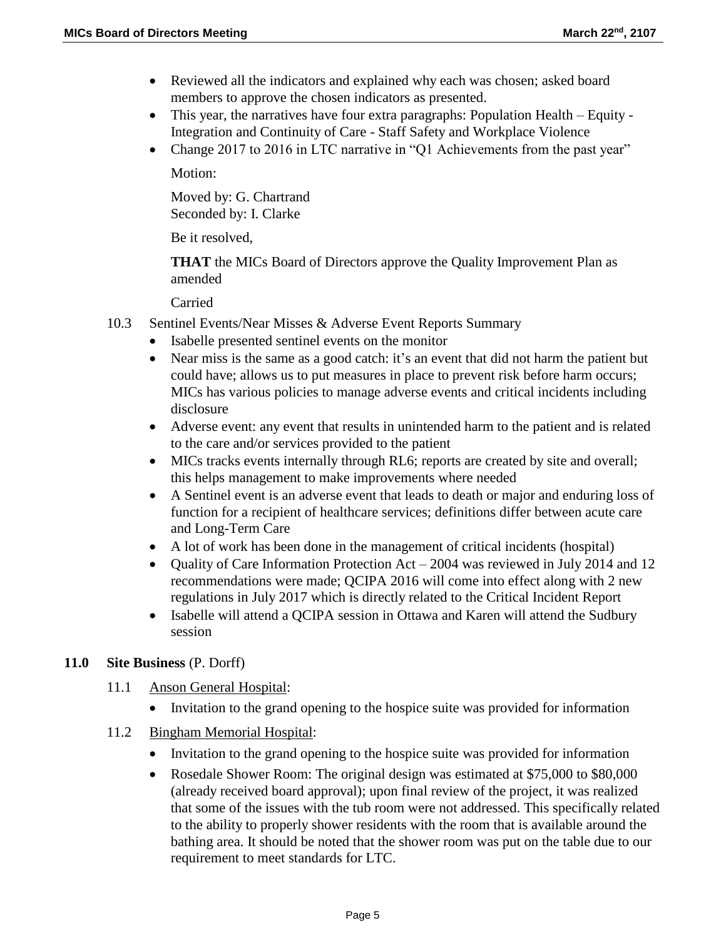- Reviewed all the indicators and explained why each was chosen; asked board members to approve the chosen indicators as presented.
- This year, the narratives have four extra paragraphs: Population Health Equity Integration and Continuity of Care - Staff Safety and Workplace Violence
- Change 2017 to 2016 in LTC narrative in "Q1 Achievements from the past year"

Motion:

Moved by: G. Chartrand Seconded by: I. Clarke

Be it resolved,

**THAT** the MICs Board of Directors approve the Quality Improvement Plan as amended

Carried

- 10.3 Sentinel Events/Near Misses & Adverse Event Reports Summary
	- Isabelle presented sentinel events on the monitor
	- Near miss is the same as a good catch: it's an event that did not harm the patient but could have; allows us to put measures in place to prevent risk before harm occurs; MICs has various policies to manage adverse events and critical incidents including disclosure
	- Adverse event: any event that results in unintended harm to the patient and is related to the care and/or services provided to the patient
	- MICs tracks events internally through RL6; reports are created by site and overall; this helps management to make improvements where needed
	- A Sentinel event is an adverse event that leads to death or major and enduring loss of function for a recipient of healthcare services; definitions differ between acute care and Long-Term Care
	- A lot of work has been done in the management of critical incidents (hospital)
	- Quality of Care Information Protection Act 2004 was reviewed in July 2014 and 12 recommendations were made; QCIPA 2016 will come into effect along with 2 new regulations in July 2017 which is directly related to the Critical Incident Report
	- Isabelle will attend a QCIPA session in Ottawa and Karen will attend the Sudbury session

# **11.0 Site Business** (P. Dorff)

- 11.1 Anson General Hospital:
	- Invitation to the grand opening to the hospice suite was provided for information
- 11.2 Bingham Memorial Hospital:
	- Invitation to the grand opening to the hospice suite was provided for information
	- Rosedale Shower Room: The original design was estimated at \$75,000 to \$80,000 (already received board approval); upon final review of the project, it was realized that some of the issues with the tub room were not addressed. This specifically related to the ability to properly shower residents with the room that is available around the bathing area. It should be noted that the shower room was put on the table due to our requirement to meet standards for LTC.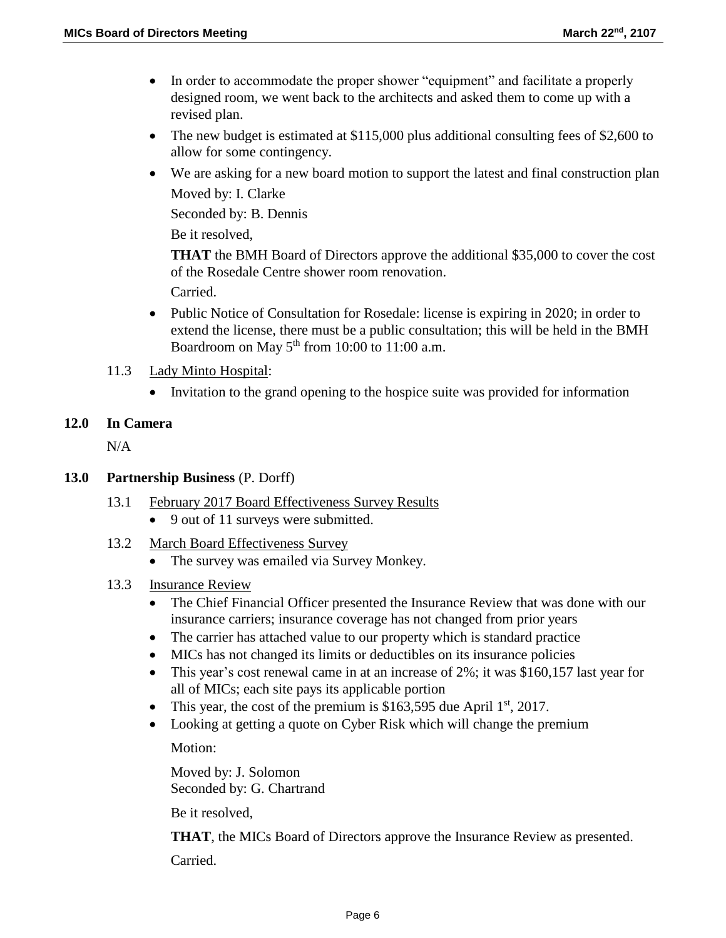- In order to accommodate the proper shower "equipment" and facilitate a properly designed room, we went back to the architects and asked them to come up with a revised plan.
- The new budget is estimated at \$115,000 plus additional consulting fees of \$2,600 to allow for some contingency.
- We are asking for a new board motion to support the latest and final construction plan Moved by: I. Clarke

Seconded by: B. Dennis

Be it resolved,

**THAT** the BMH Board of Directors approve the additional \$35,000 to cover the cost of the Rosedale Centre shower room renovation.

Carried.

- Public Notice of Consultation for Rosedale: license is expiring in 2020; in order to extend the license, there must be a public consultation; this will be held in the BMH Boardroom on May  $5<sup>th</sup>$  from 10:00 to 11:00 a.m.
- 11.3 Lady Minto Hospital:
	- Invitation to the grand opening to the hospice suite was provided for information

### **12.0 In Camera**

 $N/A$ 

### **13.0 Partnership Business** (P. Dorff)

- 13.1 February 2017 Board Effectiveness Survey Results
	- 9 out of 11 surveys were submitted.
- 13.2 March Board Effectiveness Survey
	- The survey was emailed via Survey Monkey.
- 13.3 Insurance Review
	- The Chief Financial Officer presented the Insurance Review that was done with our insurance carriers; insurance coverage has not changed from prior years
	- The carrier has attached value to our property which is standard practice
	- MICs has not changed its limits or deductibles on its insurance policies
	- This year's cost renewal came in at an increase of 2%; it was \$160,157 last year for all of MICs; each site pays its applicable portion
	- This year, the cost of the premium is \$163,595 due April  $1<sup>st</sup>$ , 2017.
	- Looking at getting a quote on Cyber Risk which will change the premium Motion:

Moved by: J. Solomon Seconded by: G. Chartrand

Be it resolved,

**THAT**, the MICs Board of Directors approve the Insurance Review as presented. Carried.